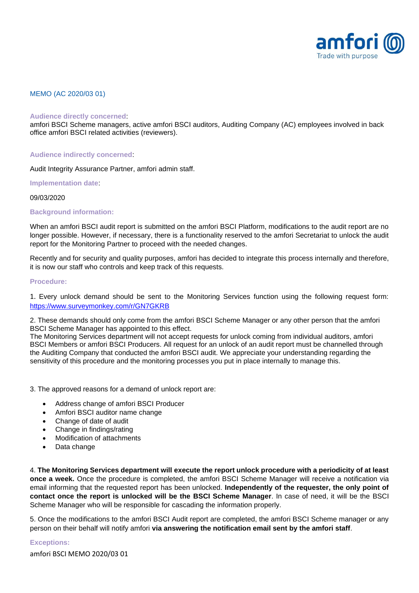

# MEMO (AC 2020/03 01)

#### **Audience directly concerned**:

amfori BSCI Scheme managers, active amfori BSCI auditors, Auditing Company (AC) employees involved in back office amfori BSCI related activities (reviewers).

### **Audience indirectly concerned**:

Audit Integrity Assurance Partner, amfori admin staff.

**Implementation date**:

### 09/03/2020

# **Background information:**

When an amfori BSCI audit report is submitted on the amfori BSCI Platform, modifications to the audit report are no longer possible. However, if necessary, there is a functionality reserved to the amfori Secretariat to unlock the audit report for the Monitoring Partner to proceed with the needed changes.

Recently and for security and quality purposes, amfori has decided to integrate this process internally and therefore, it is now our staff who controls and keep track of this requests.

# **Procedure:**

1. Every unlock demand should be sent to the Monitoring Services function using the following request form: <https://www.surveymonkey.com/r/GN7GKRB>

2. These demands should only come from the amfori BSCI Scheme Manager or any other person that the amfori BSCI Scheme Manager has appointed to this effect.

The Monitoring Services department will not accept requests for unlock coming from individual auditors, amfori BSCI Members or amfori BSCI Producers. All request for an unlock of an audit report must be channelled through the Auditing Company that conducted the amfori BSCI audit. We appreciate your understanding regarding the sensitivity of this procedure and the monitoring processes you put in place internally to manage this.

3. The approved reasons for a demand of unlock report are:

- Address change of amfori BSCI Producer
- Amfori BSCI auditor name change
- Change of date of audit
- Change in findings/rating
- Modification of attachments
- Data change

4. **The Monitoring Services department will execute the report unlock procedure with a periodicity of at least once a week.** Once the procedure is completed, the amfori BSCI Scheme Manager will receive a notification via email informing that the requested report has been unlocked. **Independently of the requester, the only point of contact once the report is unlocked will be the BSCI Scheme Manager**. In case of need, it will be the BSCI Scheme Manager who will be responsible for cascading the information properly.

5. Once the modifications to the amfori BSCI Audit report are completed, the amfori BSCI Scheme manager or any person on their behalf will notify amfori **via answering the notification email sent by the amfori staff**.

# **Exceptions:**

amfori BSCI MEMO 2020/03 01